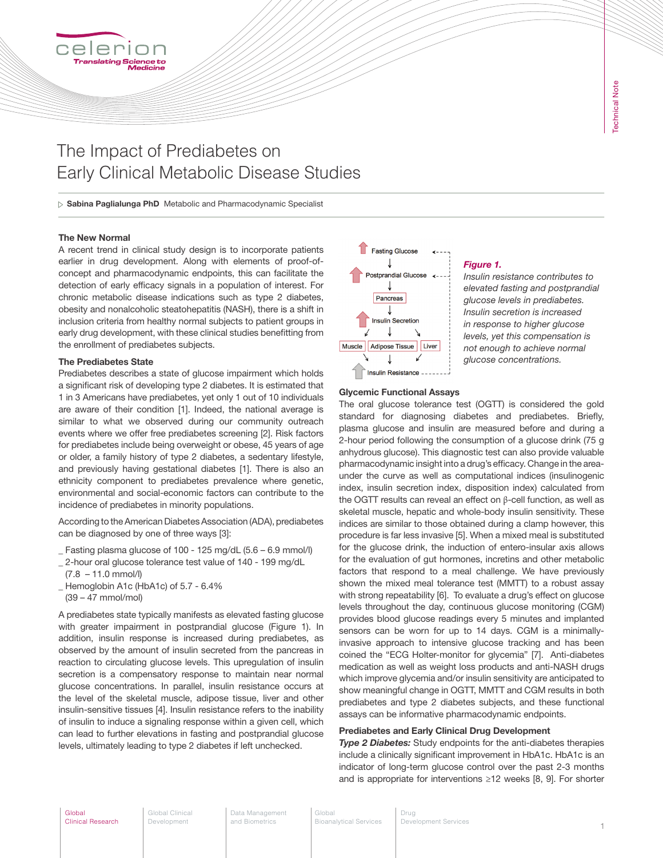# The Impact of Prediabetes on Early Clinical Metabolic Disease Studies

 $\triangleright$  Sabina Paglialunga PhD Metabolic and Pharmacodynamic Specialist

## The New Normal

A recent trend in clinical study design is to incorporate patients earlier in drug development. Along with elements of proof-ofconcept and pharmacodynamic endpoints, this can facilitate the detection of early efficacy signals in a population of interest. For chronic metabolic disease indications such as type 2 diabetes, obesity and nonalcoholic steatohepatitis (NASH), there is a shift in inclusion criteria from healthy normal subjects to patient groups in early drug development, with these clinical studies benefitting from the enrollment of prediabetes subjects.

#### The Prediabetes State

Prediabetes describes a state of glucose impairment which holds a significant risk of developing type 2 diabetes. It is estimated that 1 in 3 Americans have prediabetes, yet only 1 out of 10 individuals are aware of their condition [1]. Indeed, the national average is similar to what we observed during our community outreach events where we offer free prediabetes screening [2]. Risk factors for prediabetes include being overweight or obese, 45 years of age or older, a family history of type 2 diabetes, a sedentary lifestyle, and previously having gestational diabetes [1]. There is also an ethnicity component to prediabetes prevalence where genetic, environmental and social-economic factors can contribute to the incidence of prediabetes in minority populations.

According to the American Diabetes Association (ADA), prediabetes can be diagnosed by one of three ways [3]:

- \_ Fasting plasma glucose of 100 125 mg/dL (5.6 6.9 mmol/l)
- \_ 2-hour oral glucose tolerance test value of 140 199 mg/dL
- $(7.8 11.0 \text{ mmol/l})$
- \_ Hemoglobin A1c (HbA1c) of 5.7 6.4%
- (39 47 mmol/mol)

A prediabetes state typically manifests as elevated fasting glucose with greater impairment in postprandial glucose (Figure 1). In addition, insulin response is increased during prediabetes, as observed by the amount of insulin secreted from the pancreas in reaction to circulating glucose levels. This upregulation of insulin secretion is a compensatory response to maintain near normal glucose concentrations. In parallel, insulin resistance occurs at the level of the skeletal muscle, adipose tissue, liver and other insulin-sensitive tissues [4]. Insulin resistance refers to the inability of insulin to induce a signaling response within a given cell, which can lead to further elevations in fasting and postprandial glucose levels, ultimately leading to type 2 diabetes if left unchecked.



#### *Figure 1.*

*Insulin resistance contributes to elevated fasting and postprandial glucose levels in prediabetes. Insulin secretion is increased in response to higher glucose levels, yet this compensation is not enough to achieve normal glucose concentrations.*

#### Glycemic Functional Assays

The oral glucose tolerance test (OGTT) is considered the gold standard for diagnosing diabetes and prediabetes. Briefly, plasma glucose and insulin are measured before and during a 2-hour period following the consumption of a glucose drink (75 g anhydrous glucose). This diagnostic test can also provide valuable pharmacodynamic insight into a drug's efficacy. Change in the areaunder the curve as well as computational indices (insulinogenic index, insulin secretion index, disposition index) calculated from the OGTT results can reveal an effect on β-cell function, as well as skeletal muscle, hepatic and whole-body insulin sensitivity. These indices are similar to those obtained during a clamp however, this procedure is far less invasive [5]. When a mixed meal is substituted for the glucose drink, the induction of entero-insular axis allows for the evaluation of gut hormones, incretins and other metabolic factors that respond to a meal challenge. We have previously shown the mixed meal tolerance test (MMTT) to a robust assay with strong repeatability [6]. To evaluate a drug's effect on glucose levels throughout the day, continuous glucose monitoring (CGM) provides blood glucose readings every 5 minutes and implanted sensors can be worn for up to 14 days. CGM is a minimallyinvasive approach to intensive glucose tracking and has been coined the "ECG Holter-monitor for glycemia" [7]. Anti-diabetes medication as well as weight loss products and anti-NASH drugs which improve glycemia and/or insulin sensitivity are anticipated to show meaningful change in OGTT, MMTT and CGM results in both prediabetes and type 2 diabetes subjects, and these functional assays can be informative pharmacodynamic endpoints.

# Prediabetes and Early Clinical Drug Development

**Type 2 Diabetes:** Study endpoints for the anti-diabetes therapies include a clinically significant improvement in HbA1c. HbA1c is an indicator of long-term glucose control over the past 2-3 months and is appropriate for interventions ≥12 weeks [8, 9]. For shorter

Global Clinical Research

Global Clinical Development

Data Management and Biometrics

Global Bioanalytical Services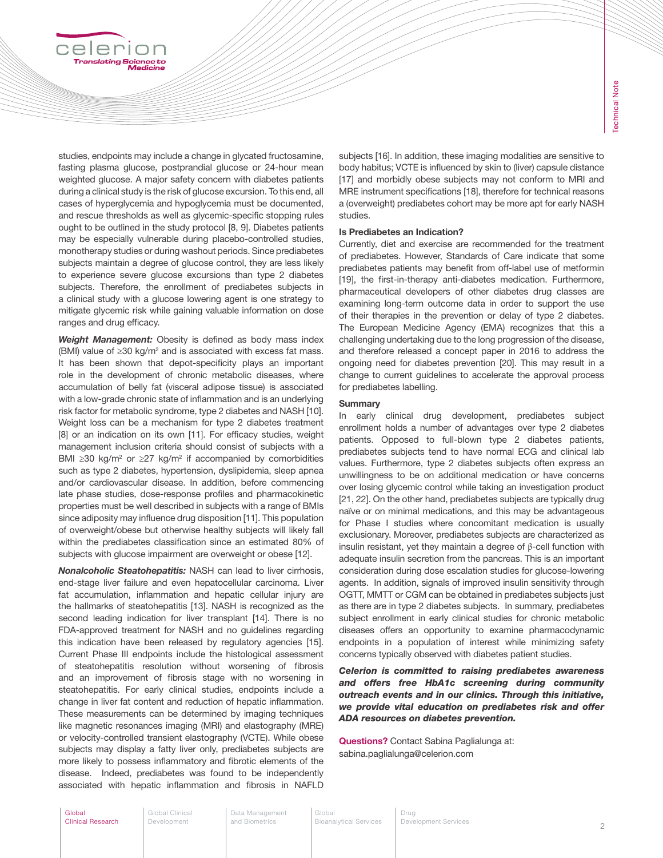studies, endpoints may include a change in glycated fructosamine, fasting plasma glucose, postprandial glucose or 24-hour mean weighted glucose. A major safety concern with diabetes patients during a clinical study is the risk of glucose excursion. To this end, all cases of hyperglycemia and hypoglycemia must be documented, and rescue thresholds as well as glycemic-specific stopping rules ought to be outlined in the study protocol [8, 9]. Diabetes patients may be especially vulnerable during placebo-controlled studies, monotherapy studies or during washout periods. Since prediabetes subjects maintain a degree of glucose control, they are less likely to experience severe glucose excursions than type 2 diabetes subjects. Therefore, the enrollment of prediabetes subjects in a clinical study with a glucose lowering agent is one strategy to mitigate glycemic risk while gaining valuable information on dose ranges and drug efficacy.

celer

*Weight Management:* Obesity is defined as body mass index (BMI) value of  $≥30$  kg/m<sup>2</sup> and is associated with excess fat mass. It has been shown that depot-specificity plays an important role in the development of chronic metabolic diseases, where accumulation of belly fat (visceral adipose tissue) is associated with a low-grade chronic state of inflammation and is an underlying risk factor for metabolic syndrome, type 2 diabetes and NASH [10]. Weight loss can be a mechanism for type 2 diabetes treatment [8] or an indication on its own [11]. For efficacy studies, weight management inclusion criteria should consist of subjects with a BMI ≥30 kg/m<sup>2</sup> or ≥27 kg/m<sup>2</sup> if accompanied by comorbidities such as type 2 diabetes, hypertension, dyslipidemia, sleep apnea and/or cardiovascular disease. In addition, before commencing late phase studies, dose-response profiles and pharmacokinetic properties must be well described in subjects with a range of BMIs since adiposity may influence drug disposition [11]. This population of overweight/obese but otherwise healthy subjects will likely fall within the prediabetes classification since an estimated 80% of subjects with glucose impairment are overweight or obese [12].

*Nonalcoholic Steatohepatitis:* NASH can lead to liver cirrhosis, end-stage liver failure and even hepatocellular carcinoma. Liver fat accumulation, inflammation and hepatic cellular injury are the hallmarks of steatohepatitis [13]. NASH is recognized as the second leading indication for liver transplant [14]. There is no FDA-approved treatment for NASH and no guidelines regarding this indication have been released by regulatory agencies [15]. Current Phase III endpoints include the histological assessment of steatohepatitis resolution without worsening of fibrosis and an improvement of fibrosis stage with no worsening in steatohepatitis. For early clinical studies, endpoints include a change in liver fat content and reduction of hepatic inflammation. These measurements can be determined by imaging techniques like magnetic resonances imaging (MRI) and elastography (MRE) or velocity-controlled transient elastography (VCTE). While obese subjects may display a fatty liver only, prediabetes subjects are more likely to possess inflammatory and fibrotic elements of the disease. Indeed, prediabetes was found to be independently associated with hepatic inflammation and fibrosis in NAFLD subjects [16]. In addition, these imaging modalities are sensitive to body habitus; VCTE is influenced by skin to (liver) capsule distance [17] and morbidly obese subjects may not conform to MRI and MRE instrument specifications [18], therefore for technical reasons a (overweight) prediabetes cohort may be more apt for early NASH studies.

### Is Prediabetes an Indication?

Currently, diet and exercise are recommended for the treatment of prediabetes. However, Standards of Care indicate that some prediabetes patients may benefit from off-label use of metformin [19], the first-in-therapy anti-diabetes medication. Furthermore, pharmaceutical developers of other diabetes drug classes are examining long-term outcome data in order to support the use of their therapies in the prevention or delay of type 2 diabetes. The European Medicine Agency (EMA) recognizes that this a challenging undertaking due to the long progression of the disease, and therefore released a concept paper in 2016 to address the ongoing need for diabetes prevention [20]. This may result in a change to current guidelines to accelerate the approval process for prediabetes labelling.

## **Summary**

In early clinical drug development, prediabetes subject enrollment holds a number of advantages over type 2 diabetes patients. Opposed to full-blown type 2 diabetes patients, prediabetes subjects tend to have normal ECG and clinical lab values. Furthermore, type 2 diabetes subjects often express an unwillingness to be on additional medication or have concerns over losing glycemic control while taking an investigation product [21, 22]. On the other hand, prediabetes subjects are typically drug naïve or on minimal medications, and this may be advantageous for Phase I studies where concomitant medication is usually exclusionary. Moreover, prediabetes subjects are characterized as insulin resistant, yet they maintain a degree of β-cell function with adequate insulin secretion from the pancreas. This is an important consideration during dose escalation studies for glucose-lowering agents. In addition, signals of improved insulin sensitivity through OGTT, MMTT or CGM can be obtained in prediabetes subjects just as there are in type 2 diabetes subjects. In summary, prediabetes subject enrollment in early clinical studies for chronic metabolic diseases offers an opportunity to examine pharmacodynamic endpoints in a population of interest while minimizing safety concerns typically observed with diabetes patient studies.

*Celerion is committed to raising prediabetes awareness and offers free HbA1c screening during community outreach events and in our clinics. Through this initiative, we provide vital education on prediabetes risk and offer ADA resources on diabetes prevention.*

Questions? Contact Sabina Paglialunga at: sabina.paglialunga@celerion.com

Global Clinical Development

Data Management and Biometrics

Global Bioanalytical Services